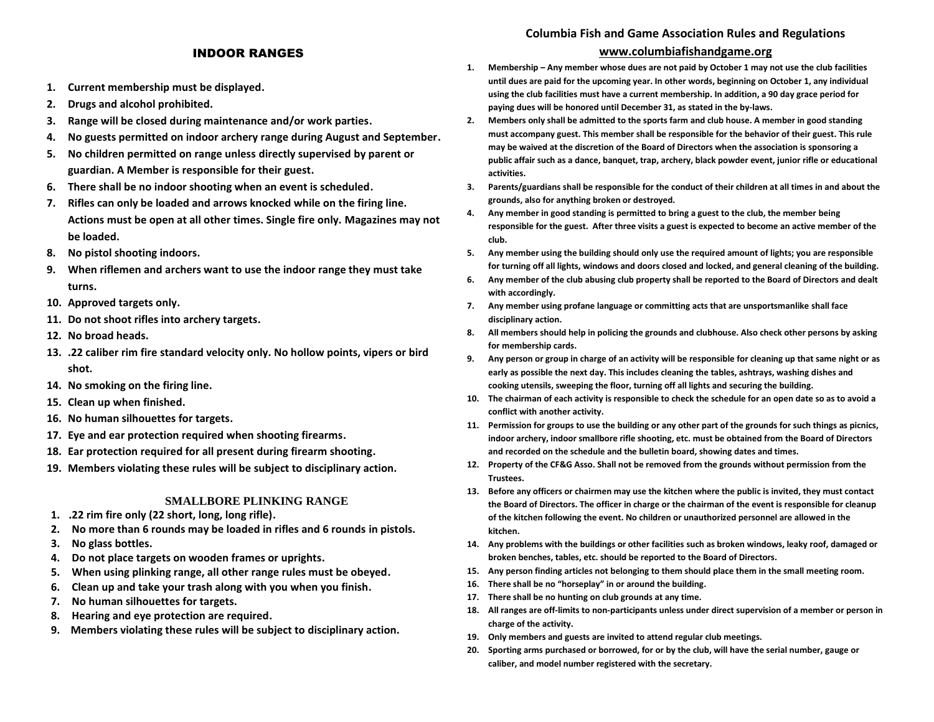## INDOOR RANGES

- **1. Current membership must be displayed.**
- **2. Drugs and alcohol prohibited.**
- **3. Range will be closed during maintenance and/or work parties.**
- **4. No guests permitted on indoor archery range during August and September.**
- **5. No children permitted on range unless directly supervised by parent or guardian. A Member is responsible for their guest.**
- **6. There shall be no indoor shooting when an event is scheduled.**
- **7. Rifles can only be loaded and arrows knocked while on the firing line. Actions must be open at all other times. Single fire only. Magazines may not be loaded.**
- **8. No pistol shooting indoors.**
- **9. When riflemen and archers want to use the indoor range they must take turns.**
- **10. Approved targets only.**
- **11. Do not shoot rifles into archery targets.**
- **12. No broad heads.**
- **13. .22 caliber rim fire standard velocity only. No hollow points, vipers or bird shot.**
- **14. No smoking on the firing line.**
- **15. Clean up when finished.**
- **16. No human silhouettes for targets.**
- **17. Eye and ear protection required when shooting firearms.**
- **18. Ear protection required for all present during firearm shooting.**
- **19. Members violating these rules will be subject to disciplinary action.**

## **SMALLBORE PLINKING RANGE**

- **1. .22 rim fire only (22 short, long, long rifle).**
- **2. No more than 6 rounds may be loaded in rifles and 6 rounds in pistols.**
- **3. No glass bottles.**
- **4. Do not place targets on wooden frames or uprights.**
- **5. When using plinking range, all other range rules must be obeyed.**
- **6. Clean up and take your trash along with you when you finish.**
- **7. No human silhouettes for targets.**
- **8. Hearing and eye protection are required.**
- **9. Members violating these rules will be subject to disciplinary action.**

# **Columbia Fish and Game Association Rules and Regulations**

## **[www.columbiafishandgame.org](http://www.columbiafishandgame.org/)**

- **1. Membership – Any member whose dues are not paid by October 1 may not use the club facilities until dues are paid for the upcoming year. In other words, beginning on October 1, any individual using the club facilities must have a current membership. In addition, a 90 day grace period for paying dues will be honored until December 31, as stated in the by-laws.**
- **2. Members only shall be admitted to the sports farm and club house. A member in good standing must accompany guest. This member shall be responsible for the behavior of their guest. This rule may be waived at the discretion of the Board of Directors when the association is sponsoring a public affair such as a dance, banquet, trap, archery, black powder event, junior rifle or educational activities.**
- **3. Parents/guardians shall be responsible for the conduct of their children at all times in and about the grounds, also for anything broken or destroyed.**
- **4. Any member in good standing is permitted to bring a guest to the club, the member being responsible for the guest. After three visits a guest is expected to become an active member of the club.**
- **5. Any member using the building should only use the required amount of lights; you are responsible for turning off all lights, windows and doors closed and locked, and general cleaning of the building.**
- **6. Any member of the club abusing club property shall be reported to the Board of Directors and dealt with accordingly.**
- **7. Any member using profane language or committing acts that are unsportsmanlike shall face disciplinary action.**
- **8. All members should help in policing the grounds and clubhouse. Also check other persons by asking for membership cards.**
- **9. Any person or group in charge of an activity will be responsible for cleaning up that same night or as early as possible the next day. This includes cleaning the tables, ashtrays, washing dishes and cooking utensils, sweeping the floor, turning off all lights and securing the building.**
- **10. The chairman of each activity is responsible to check the schedule for an open date so as to avoid a conflict with another activity.**
- **11. Permission for groups to use the building or any other part of the grounds for such things as picnics, indoor archery, indoor smallbore rifle shooting, etc. must be obtained from the Board of Directors and recorded on the schedule and the bulletin board, showing dates and times.**
- **12. Property of the CF&G Asso. Shall not be removed from the grounds without permission from the Trustees.**
- **13. Before any officers or chairmen may use the kitchen where the public is invited, they must contact the Board of Directors. The officer in charge or the chairman of the event is responsible for cleanup of the kitchen following the event. No children or unauthorized personnel are allowed in the kitchen.**
- **14. Any problems with the buildings or other facilities such as broken windows, leaky roof, damaged or broken benches, tables, etc. should be reported to the Board of Directors.**
- **15. Any person finding articles not belonging to them should place them in the small meeting room.**
- **16. There shall be no "horseplay" in or around the building.**
- **17. There shall be no hunting on club grounds at any time.**
- **18. All ranges are off-limits to non-participants unless under direct supervision of a member or person in charge of the activity.**
- **19. Only members and guests are invited to attend regular club meetings.**
- **20. Sporting arms purchased or borrowed, for or by the club, will have the serial number, gauge or caliber, and model number registered with the secretary.**